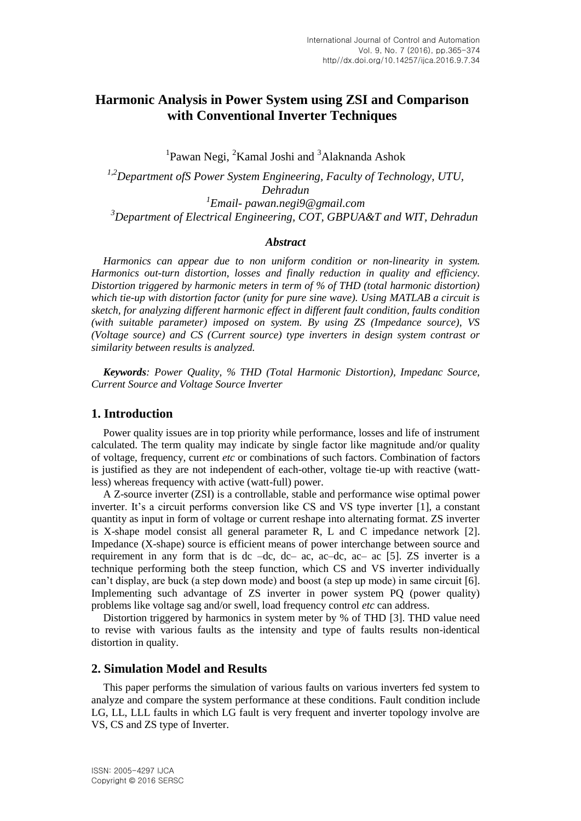# **Harmonic Analysis in Power System using ZSI and Comparison with Conventional Inverter Techniques**

<sup>1</sup>Pawan Negi, <sup>2</sup>Kamal Joshi and <sup>3</sup>Alaknanda Ashok

*1,2Department ofS Power System Engineering, Faculty of Technology, UTU, Dehradun 1 Email- pawan.negi9@gmail.com <sup>3</sup>Department of Electrical Engineering, COT, GBPUA&T and WIT, Dehradun*

#### *Abstract*

*Harmonics can appear due to non uniform condition or non-linearity in system. Harmonics out-turn distortion, losses and finally reduction in quality and efficiency. Distortion triggered by harmonic meters in term of % of THD (total harmonic distortion) which tie-up with distortion factor (unity for pure sine wave). Using MATLAB a circuit is sketch, for analyzing different harmonic effect in different fault condition, faults condition (with suitable parameter) imposed on system. By using ZS (Impedance source), VS (Voltage source) and CS (Current source) type inverters in design system contrast or similarity between results is analyzed.*

*Keywords: Power Quality, % THD (Total Harmonic Distortion), Impedanc Source, Current Source and Voltage Source Inverter*

#### **1. Introduction**

Power quality issues are in top priority while performance, losses and life of instrument calculated. The term quality may indicate by single factor like magnitude and/or quality of voltage, frequency, current *etc* or combinations of such factors. Combination of factors is justified as they are not independent of each-other, voltage tie-up with reactive (wattless) whereas frequency with active (watt-full) power.

A Z-source inverter (ZSI) is a controllable, stable and performance wise optimal [power](https://en.wikipedia.org/wiki/Power_inverter)  [inverter.](https://en.wikipedia.org/wiki/Power_inverter) It's a circuit performs conversion like CS and VS type inverter [1], a constant quantity as input in form of voltage or current reshape into alternating format. ZS inverter is X-shape model consist all general parameter R, L and C impedance network [2]. Impedance (X-shape) source is efficient means of power interchange between source and requirement in any form that is dc –dc, dc– ac, ac–dc, ac– ac [5]. ZS inverter is a technique performing both the steep function, which CS and VS inverter individually can't display, are buck (a step down mode) and boost (a step up mode) in same circuit [6]. Implementing such advantage of ZS inverter in power system PQ (power quality) problems like voltage sag and/or swell, load frequency control *etc* can address.

Distortion triggered by harmonics in system meter by % of THD [3]. THD value need to revise with various faults as the intensity and type of faults results non-identical distortion in quality.

#### **2. Simulation Model and Results**

This paper performs the simulation of various faults on various inverters fed system to analyze and compare the system performance at these conditions. Fault condition include LG, LL, LLL faults in which LG fault is very frequent and inverter topology involve are VS, CS and ZS type of Inverter.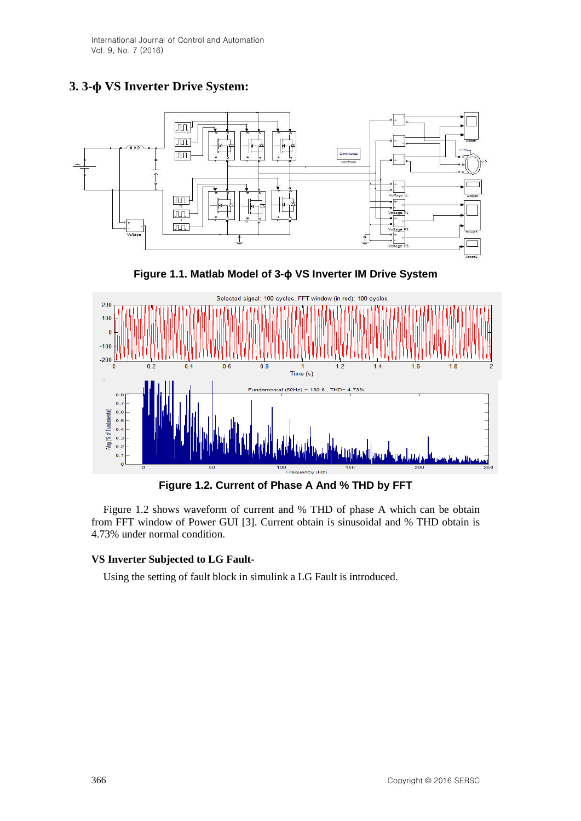International Journal of Control and Automation Vol. 9, No. 7 (2016)

# **3. 3-ɸ VS Inverter Drive System:**







**Figure 1.2. Current of Phase A And % THD by FFT**

Figure 1.2 shows waveform of current and % THD of phase A which can be obtain from FFT window of Power GUI [3]. Current obtain is sinusoidal and % THD obtain is 4.73% under normal condition.

#### **VS Inverter Subjected to LG Fault-**

Using the setting of fault block in simulink a LG Fault is introduced.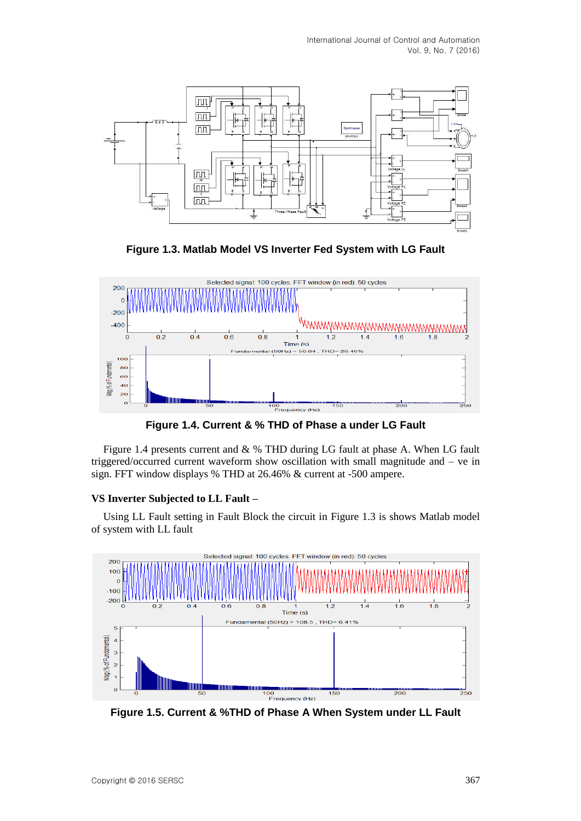

**Figure 1.3. Matlab Model VS Inverter Fed System with LG Fault**



**Figure 1.4. Current & % THD of Phase a under LG Fault**

Figure 1.4 presents current and & % THD during LG fault at phase A. When LG fault triggered/occurred current waveform show oscillation with small magnitude and – ve in sign. FFT window displays % THD at 26.46% & current at -500 ampere.

# **VS Inverter Subjected to LL Fault –**

Using LL Fault setting in Fault Block the circuit in Figure 1.3 is shows Matlab model of system with LL fault



**Figure 1.5. Current & %THD of Phase A When System under LL Fault**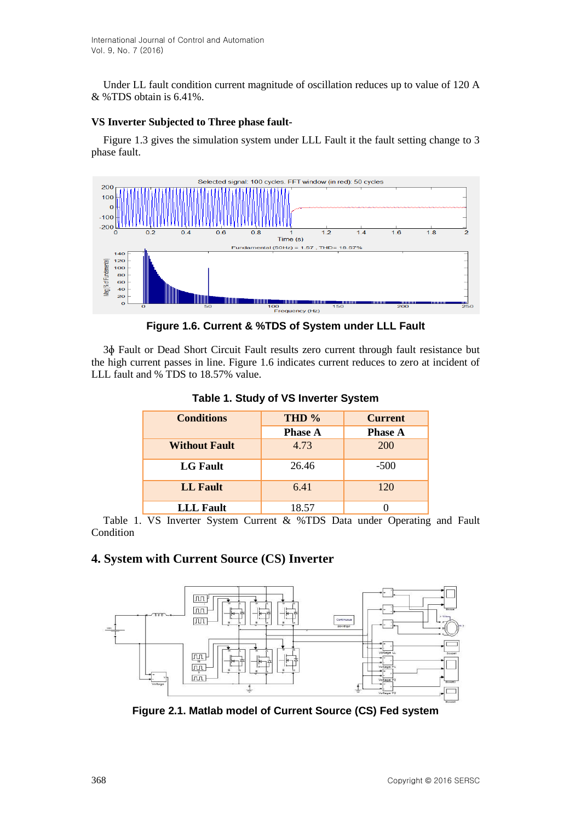Under LL fault condition current magnitude of oscillation reduces up to value of 120 A & %TDS obtain is 6.41%.

#### **VS Inverter Subjected to Three phase fault-**

Figure 1.3 gives the simulation system under LLL Fault it the fault setting change to 3 phase fault.



**Figure 1.6. Current & %TDS of System under LLL Fault**

3ɸ Fault or Dead Short Circuit Fault results zero current through fault resistance but the high current passes in line. Figure 1.6 indicates current reduces to zero at incident of LLL fault and % TDS to 18.57% value.

| <b>Conditions</b>    | THD %          | <b>Current</b> |  |
|----------------------|----------------|----------------|--|
|                      | <b>Phase A</b> | <b>Phase A</b> |  |
| <b>Without Fault</b> | 4.73           | <b>200</b>     |  |
| <b>LG Fault</b>      | 26.46          | $-500$         |  |
| <b>LL</b> Fault      | 6.41           | 120            |  |
| <b>LLL</b> Fault     | 18.57          |                |  |

**Table 1. Study of VS Inverter System**

Table 1. VS Inverter System Current & %TDS Data under Operating and Fault **Condition** 

# **4. System with Current Source (CS) Inverter**



**Figure 2.1. Matlab model of Current Source (CS) Fed system**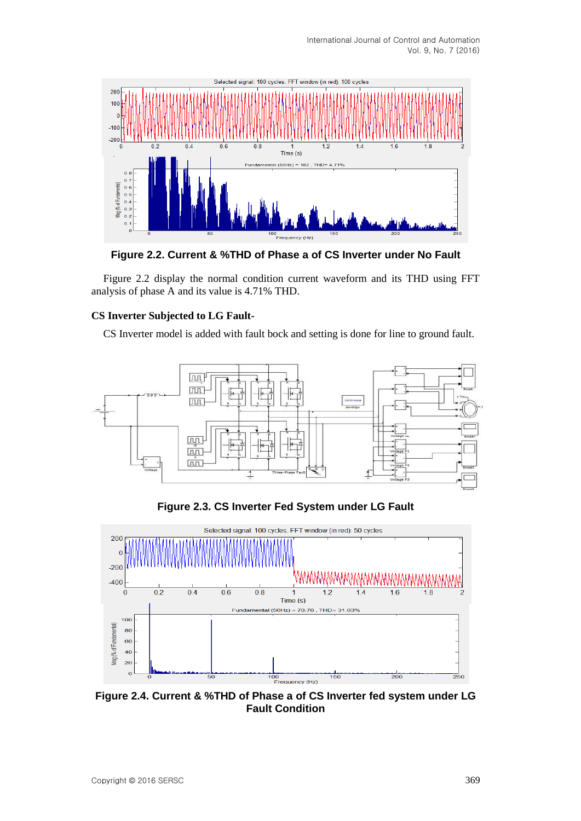International Journal of Control and Automation Vol. 9, No. 7 (2016)



**Figure 2.2. Current & %THD of Phase a of CS Inverter under No Fault**

Figure 2.2 display the normal condition current waveform and its THD using FFT analysis of phase A and its value is 4.71% THD.

### **CS Inverter Subjected to LG Fault-**

CS Inverter model is added with fault bock and setting is done for line to ground fault.



**Figure 2.3. CS Inverter Fed System under LG Fault**



**Figure 2.4. Current & %THD of Phase a of CS Inverter fed system under LG Fault Condition**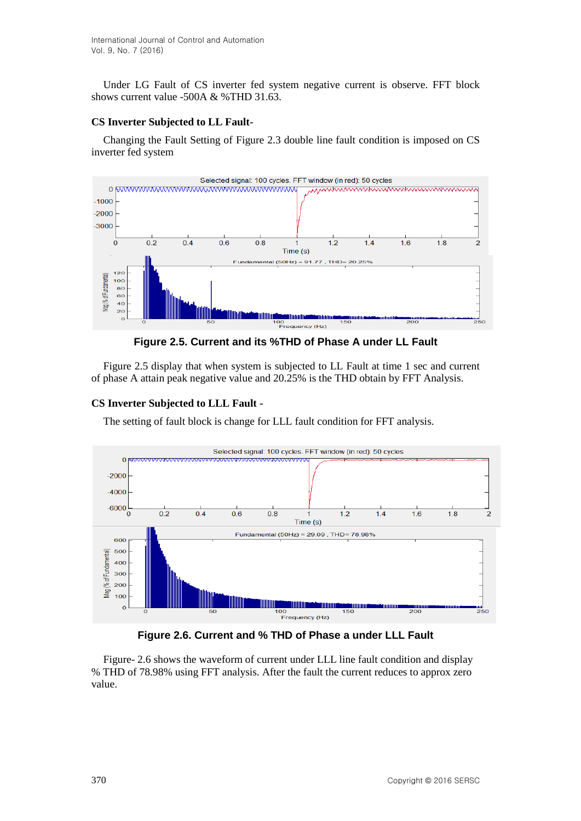Under LG Fault of CS inverter fed system negative current is observe. FFT block shows current value -500A & %THD 31.63.

#### **CS Inverter Subjected to LL Fault-**

Changing the Fault Setting of Figure 2.3 double line fault condition is imposed on CS inverter fed system



**Figure 2.5. Current and its %THD of Phase A under LL Fault**

Figure 2.5 display that when system is subjected to LL Fault at time 1 sec and current of phase A attain peak negative value and 20.25% is the THD obtain by FFT Analysis.

### **CS Inverter Subjected to LLL Fault -**

The setting of fault block is change for LLL fault condition for FFT analysis.



**Figure 2.6. Current and % THD of Phase a under LLL Fault**

Figure- 2.6 shows the waveform of current under LLL line fault condition and display % THD of 78.98% using FFT analysis. After the fault the current reduces to approx zero value.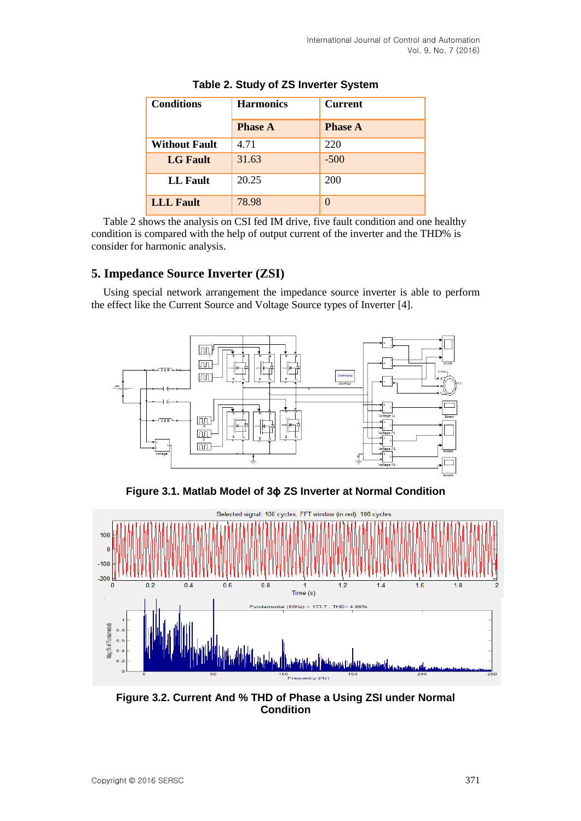| <b>Conditions</b>    | <b>Harmonics</b> | <b>Current</b> |
|----------------------|------------------|----------------|
|                      | <b>Phase A</b>   | <b>Phase A</b> |
| <b>Without Fault</b> | 4.71             | 220            |
| <b>LG</b> Fault      | 31.63            | $-500$         |
| LL Fault             | 20.25            | 200            |
| <b>LLL</b> Fault     | 78.98            |                |

| Table 2. Study of ZS Inverter System |  |  |  |
|--------------------------------------|--|--|--|
|--------------------------------------|--|--|--|

Table 2 shows the analysis on CSI fed IM drive, five fault condition and one healthy condition is compared with the help of output current of the inverter and the THD% is consider for harmonic analysis.

## **5. Impedance Source Inverter (ZSI)**

Using special network arrangement the impedance source inverter is able to perform the effect like the Current Source and Voltage Source types of Inverter [4].



**Figure 3.1. Matlab Model of 3ɸ ZS Inverter at Normal Condition**



**Figure 3.2. Current And % THD of Phase a Using ZSI under Normal Condition**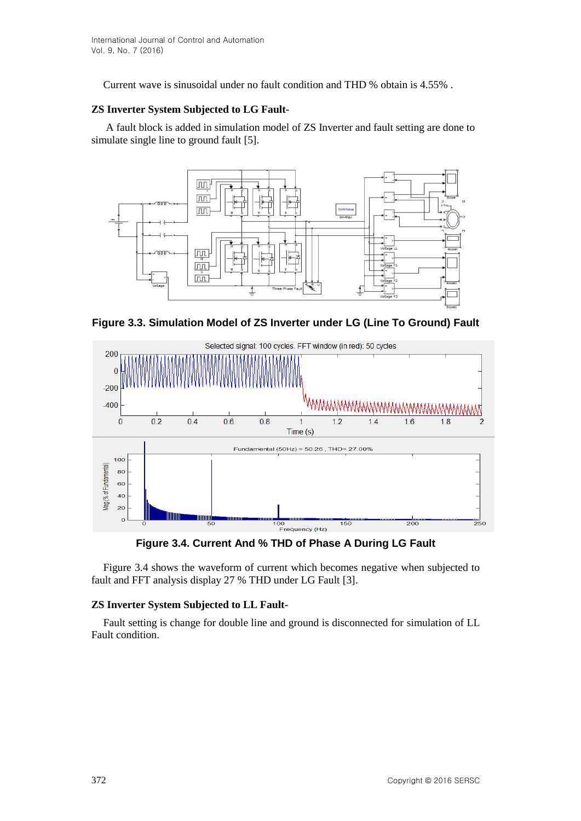Current wave is sinusoidal under no fault condition and THD % obtain is 4.55% .

## **ZS Inverter System Subjected to LG Fault-**

A fault block is added in simulation model of ZS Inverter and fault setting are done to simulate single line to ground fault [5].



**Figure 3.3. Simulation Model of ZS Inverter under LG (Line To Ground) Fault**



**Figure 3.4. Current And % THD of Phase A During LG Fault**

Figure 3.4 shows the waveform of current which becomes negative when subjected to fault and FFT analysis display 27 % THD under LG Fault [3].

### **ZS Inverter System Subjected to LL Fault-**

Fault setting is change for double line and ground is disconnected for simulation of LL Fault condition.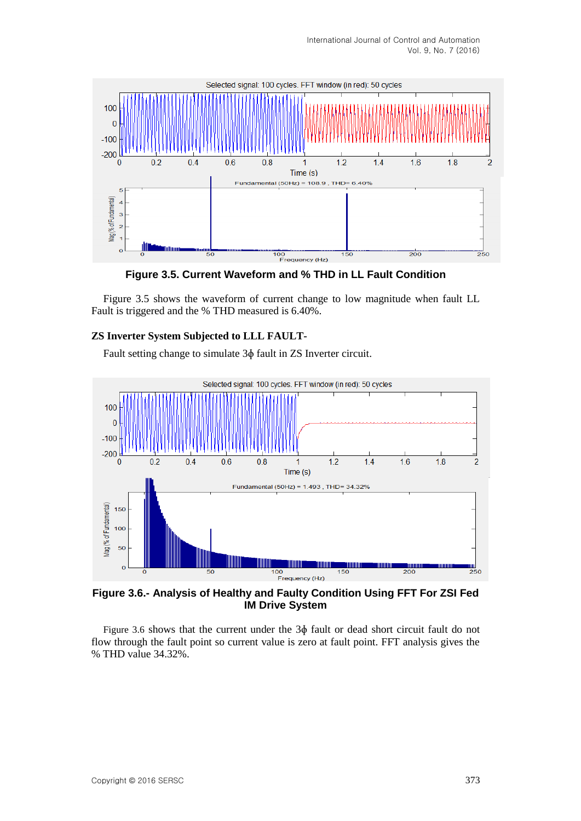

**Figure 3.5. Current Waveform and % THD in LL Fault Condition**

Figure 3.5 shows the waveform of current change to low magnitude when fault LL Fault is triggered and the % THD measured is 6.40%.

### **ZS Inverter System Subjected to LLL FAULT-**

Fault setting change to simulate 3ɸ fault in ZS Inverter circuit.



**Figure 3.6.- Analysis of Healthy and Faulty Condition Using FFT For ZSI Fed IM Drive System**

Figure 3.6 shows that the current under the 3ɸ fault or dead short circuit fault do not flow through the fault point so current value is zero at fault point. FFT analysis gives the % THD value 34.32%.